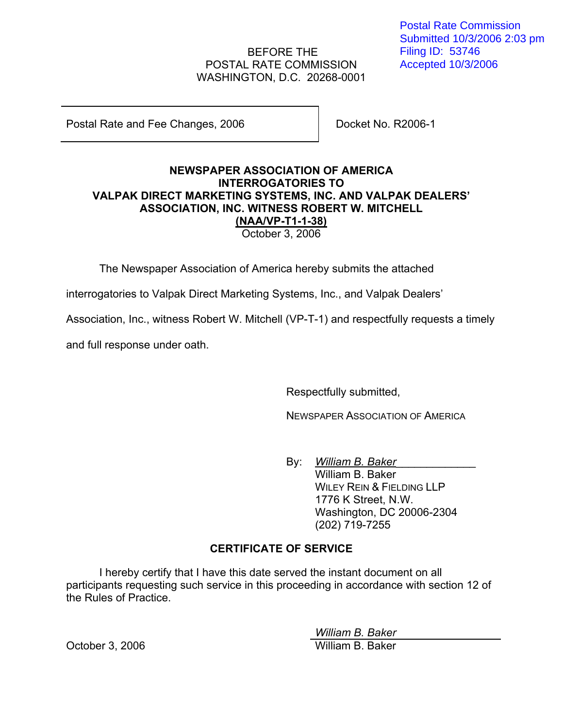# BEFORE THE POSTAL RATE COMMISSION WASHINGTON, D.C. 20268-0001

Postal Rate and Fee Changes, 2006 Docket No. R2006-1

### **NEWSPAPER ASSOCIATION OF AMERICA INTERROGATORIES TO VALPAK DIRECT MARKETING SYSTEMS, INC. AND VALPAK DEALERS' ASSOCIATION, INC. WITNESS ROBERT W. MITCHELL (NAA/VP-T1-1-38)** October 3, 2006

The Newspaper Association of America hereby submits the attached

interrogatories to Valpak Direct Marketing Systems, Inc., and Valpak Dealers'

Association, Inc., witness Robert W. Mitchell (VP-T-1) and respectfully requests a timely

and full response under oath.

Respectfully submitted,

NEWSPAPER ASSOCIATION OF AMERICA

By: William B. Baker William B. Baker WILEY REIN & FIELDING LLP 1776 K Street, N.W. Washington, DC 20006-2304 (202) 719-7255

# **CERTIFICATE OF SERVICE**

I hereby certify that I have this date served the instant document on all participants requesting such service in this proceeding in accordance with section 12 of the Rules of Practice.

*William B. Baker*

October 3, 2006 William B. Baker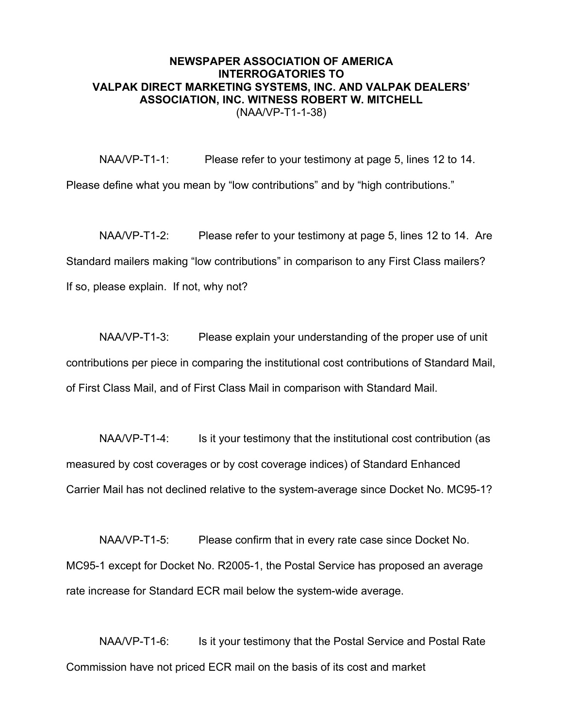NAA/VP-T1-1: Please refer to your testimony at page 5, lines 12 to 14. Please define what you mean by "low contributions" and by "high contributions."

NAA/VP-T1-2: Please refer to your testimony at page 5, lines 12 to 14. Are Standard mailers making "low contributions" in comparison to any First Class mailers? If so, please explain. If not, why not?

NAA/VP-T1-3: Please explain your understanding of the proper use of unit contributions per piece in comparing the institutional cost contributions of Standard Mail, of First Class Mail, and of First Class Mail in comparison with Standard Mail.

NAA/VP-T1-4: Is it your testimony that the institutional cost contribution (as measured by cost coverages or by cost coverage indices) of Standard Enhanced Carrier Mail has not declined relative to the system-average since Docket No. MC95-1?

NAA/VP-T1-5: Please confirm that in every rate case since Docket No. MC95-1 except for Docket No. R2005-1, the Postal Service has proposed an average rate increase for Standard ECR mail below the system-wide average.

NAA/VP-T1-6: Is it your testimony that the Postal Service and Postal Rate Commission have not priced ECR mail on the basis of its cost and market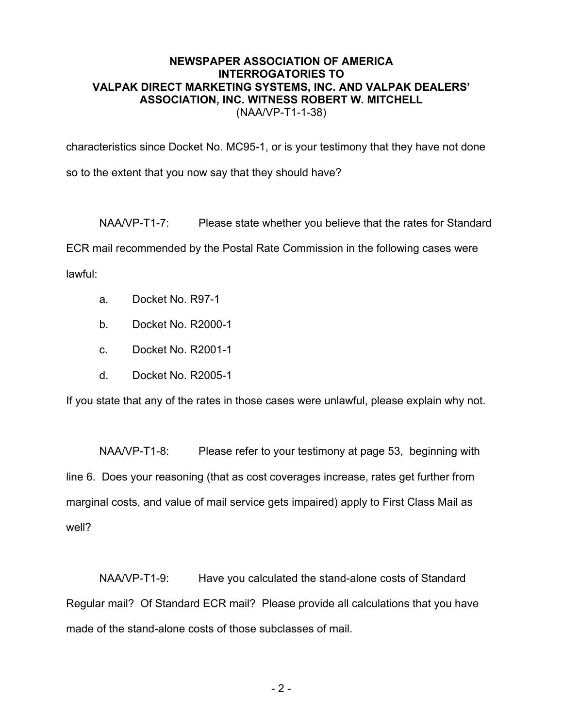characteristics since Docket No. MC95-1, or is your testimony that they have not done so to the extent that you now say that they should have?

NAA/VP-T1-7: Please state whether you believe that the rates for Standard ECR mail recommended by the Postal Rate Commission in the following cases were lawful:

- a. Docket No. R97-1
- b. Docket No. R2000-1
- c. Docket No. R2001-1
- d. Docket No. R2005-1

If you state that any of the rates in those cases were unlawful, please explain why not.

NAA/VP-T1-8: Please refer to your testimony at page 53, beginning with line 6. Does your reasoning (that as cost coverages increase, rates get further from marginal costs, and value of mail service gets impaired) apply to First Class Mail as well?

NAA/VP-T1-9: Have you calculated the stand-alone costs of Standard Regular mail? Of Standard ECR mail? Please provide all calculations that you have made of the stand-alone costs of those subclasses of mail.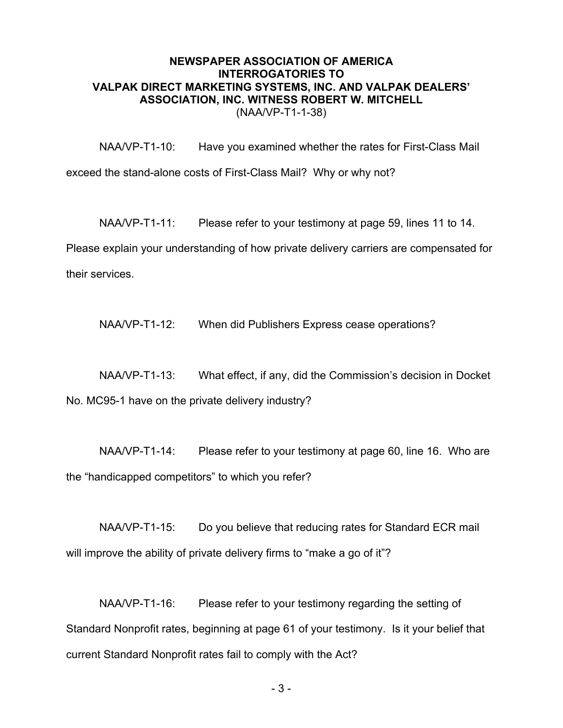NAA/VP-T1-10: Have you examined whether the rates for First-Class Mail exceed the stand-alone costs of First-Class Mail? Why or why not?

NAA/VP-T1-11: Please refer to your testimony at page 59, lines 11 to 14. Please explain your understanding of how private delivery carriers are compensated for their services.

NAA/VP-T1-12: When did Publishers Express cease operations?

NAA/VP-T1-13: What effect, if any, did the Commission's decision in Docket No. MC95-1 have on the private delivery industry?

NAA/VP-T1-14: Please refer to your testimony at page 60, line 16. Who are the "handicapped competitors" to which you refer?

NAA/VP-T1-15: Do you believe that reducing rates for Standard ECR mail will improve the ability of private delivery firms to "make a go of it"?

NAA/VP-T1-16: Please refer to your testimony regarding the setting of Standard Nonprofit rates, beginning at page 61 of your testimony. Is it your belief that current Standard Nonprofit rates fail to comply with the Act?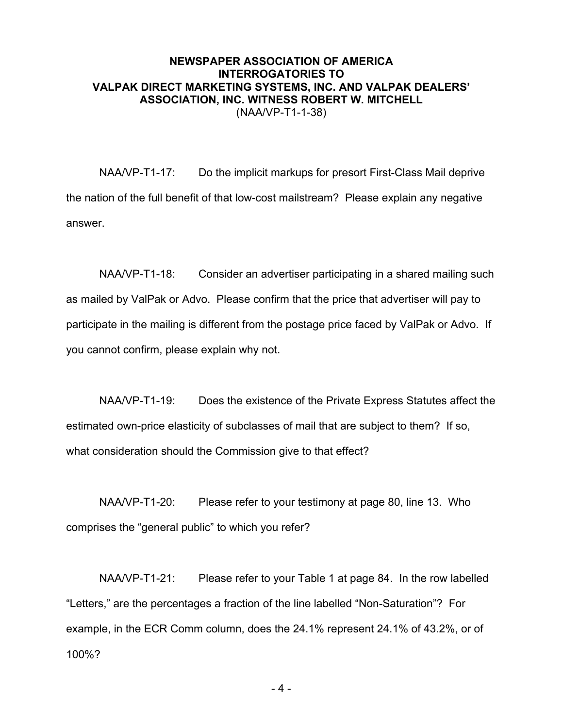NAA/VP-T1-17: Do the implicit markups for presort First-Class Mail deprive the nation of the full benefit of that low-cost mailstream? Please explain any negative answer.

NAA/VP-T1-18: Consider an advertiser participating in a shared mailing such as mailed by ValPak or Advo. Please confirm that the price that advertiser will pay to participate in the mailing is different from the postage price faced by ValPak or Advo. If you cannot confirm, please explain why not.

NAA/VP-T1-19: Does the existence of the Private Express Statutes affect the estimated own-price elasticity of subclasses of mail that are subject to them? If so, what consideration should the Commission give to that effect?

NAA/VP-T1-20: Please refer to your testimony at page 80, line 13. Who comprises the "general public" to which you refer?

NAA/VP-T1-21: Please refer to your Table 1 at page 84. In the row labelled "Letters," are the percentages a fraction of the line labelled "Non-Saturation"? For example, in the ECR Comm column, does the 24.1% represent 24.1% of 43.2%, or of 100%?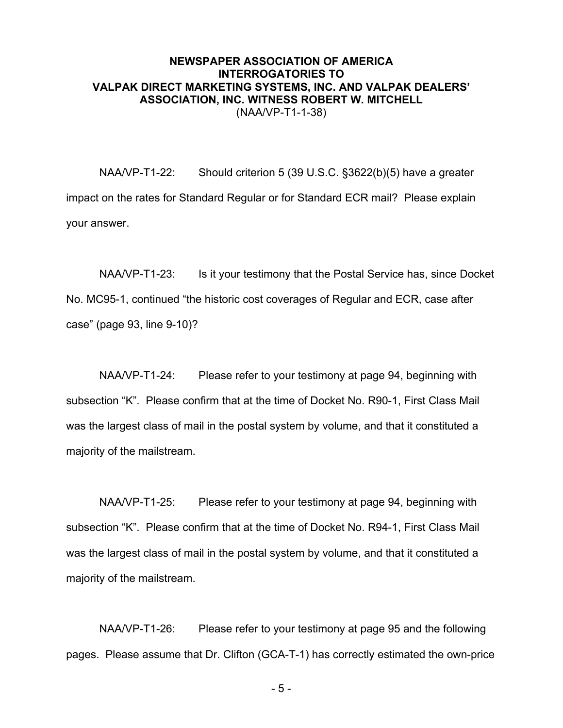NAA/VP-T1-22: Should criterion 5 (39 U.S.C. §3622(b)(5) have a greater impact on the rates for Standard Regular or for Standard ECR mail? Please explain your answer.

NAA/VP-T1-23: Is it your testimony that the Postal Service has, since Docket No. MC95-1, continued "the historic cost coverages of Regular and ECR, case after case" (page 93, line 9-10)?

NAA/VP-T1-24: Please refer to your testimony at page 94, beginning with subsection "K". Please confirm that at the time of Docket No. R90-1, First Class Mail was the largest class of mail in the postal system by volume, and that it constituted a majority of the mailstream.

NAA/VP-T1-25: Please refer to your testimony at page 94, beginning with subsection "K". Please confirm that at the time of Docket No. R94-1, First Class Mail was the largest class of mail in the postal system by volume, and that it constituted a majority of the mailstream.

NAA/VP-T1-26: Please refer to your testimony at page 95 and the following pages. Please assume that Dr. Clifton (GCA-T-1) has correctly estimated the own-price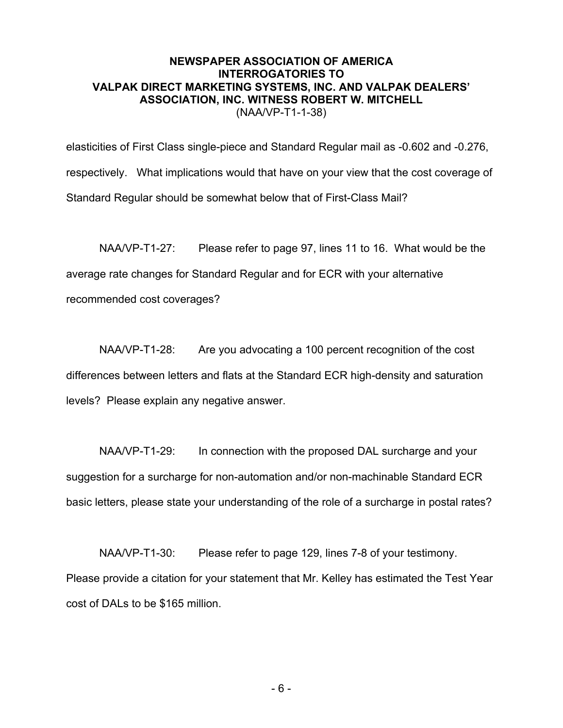elasticities of First Class single-piece and Standard Regular mail as -0.602 and -0.276, respectively. What implications would that have on your view that the cost coverage of Standard Regular should be somewhat below that of First-Class Mail?

NAA/VP-T1-27: Please refer to page 97, lines 11 to 16. What would be the average rate changes for Standard Regular and for ECR with your alternative recommended cost coverages?

NAA/VP-T1-28: Are you advocating a 100 percent recognition of the cost differences between letters and flats at the Standard ECR high-density and saturation levels? Please explain any negative answer.

NAA/VP-T1-29: In connection with the proposed DAL surcharge and your suggestion for a surcharge for non-automation and/or non-machinable Standard ECR basic letters, please state your understanding of the role of a surcharge in postal rates?

NAA/VP-T1-30: Please refer to page 129, lines 7-8 of your testimony. Please provide a citation for your statement that Mr. Kelley has estimated the Test Year cost of DALs to be \$165 million.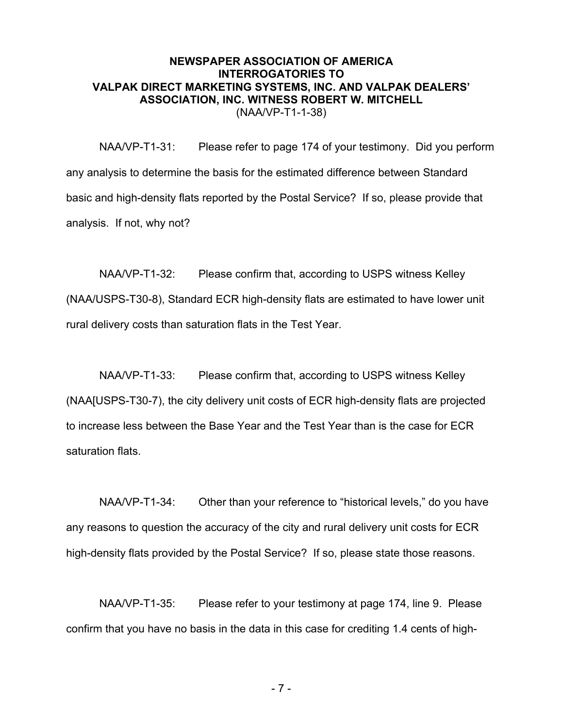NAA/VP-T1-31: Please refer to page 174 of your testimony. Did you perform any analysis to determine the basis for the estimated difference between Standard basic and high-density flats reported by the Postal Service? If so, please provide that analysis. If not, why not?

NAA/VP-T1-32: Please confirm that, according to USPS witness Kelley (NAA/USPS-T30-8), Standard ECR high-density flats are estimated to have lower unit rural delivery costs than saturation flats in the Test Year.

NAA/VP-T1-33: Please confirm that, according to USPS witness Kelley (NAA[USPS-T30-7), the city delivery unit costs of ECR high-density flats are projected to increase less between the Base Year and the Test Year than is the case for ECR saturation flats.

NAA/VP-T1-34: Other than your reference to "historical levels," do you have any reasons to question the accuracy of the city and rural delivery unit costs for ECR high-density flats provided by the Postal Service? If so, please state those reasons.

NAA/VP-T1-35: Please refer to your testimony at page 174, line 9. Please confirm that you have no basis in the data in this case for crediting 1.4 cents of high-

- 7 -